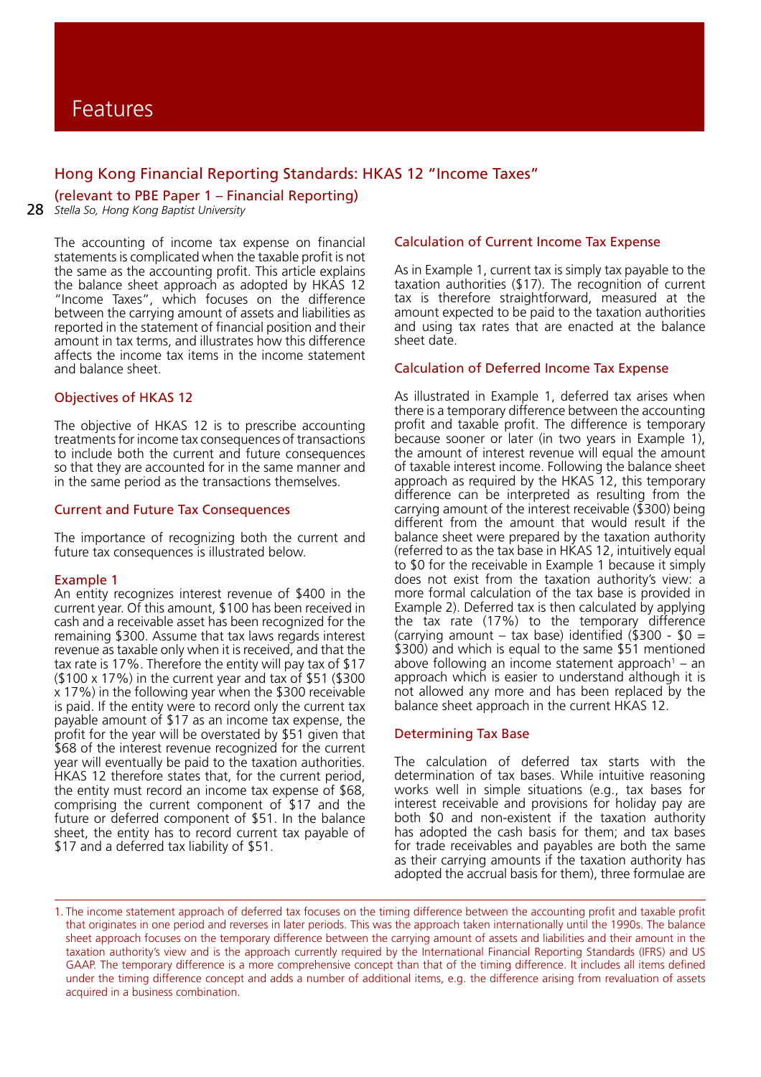## Hong Kong Financial Reporting Standards: HKAS 12 "Income Taxes"

(relevant to PBE Paper 1 – Financial Reporting)

28 *Stella So, Hong Kong Baptist University*

The accounting of income tax expense on financial statements is complicated when the taxable profit is not the same as the accounting profit. This article explains the balance sheet approach as adopted by HKAS 12 "Income Taxes", which focuses on the difference between the carrying amount of assets and liabilities as reported in the statement of financial position and their amount in tax terms, and illustrates how this difference affects the income tax items in the income statement and balance sheet.

## Objectives of HKAS 12

The objective of HKAS 12 is to prescribe accounting treatments for income tax consequences of transactions to include both the current and future consequences so that they are accounted for in the same manner and in the same period as the transactions themselves.

## Current and Future Tax Consequences

The importance of recognizing both the current and future tax consequences is illustrated below.

#### Example 1

An entity recognizes interest revenue of \$400 in the current year. Of this amount, \$100 has been received in cash and a receivable asset has been recognized for the remaining \$300. Assume that tax laws regards interest revenue as taxable only when it is received, and that the tax rate is 17%. Therefore the entity will pay tax of \$17 (\$100 x 17%) in the current year and tax of \$51 (\$300 x 17%) in the following year when the \$300 receivable is paid. If the entity were to record only the current tax payable amount of \$17 as an income tax expense, the profit for the year will be overstated by \$51 given that \$68 of the interest revenue recognized for the current year will eventually be paid to the taxation authorities. HKAS 12 therefore states that, for the current period, the entity must record an income tax expense of \$68, comprising the current component of \$17 and the future or deferred component of \$51. In the balance sheet, the entity has to record current tax payable of \$17 and a deferred tax liability of \$51.

## Calculation of Current Income Tax Expense

As in Example 1, current tax is simply tax payable to the taxation authorities (\$17). The recognition of current tax is therefore straightforward, measured at the amount expected to be paid to the taxation authorities and using tax rates that are enacted at the balance sheet date.

## Calculation of Deferred Income Tax Expense

As illustrated in Example 1, deferred tax arises when there is a temporary difference between the accounting profit and taxable profit. The difference is temporary because sooner or later (in two years in Example 1), the amount of interest revenue will equal the amount of taxable interest income. Following the balance sheet approach as required by the HKAS 12, this temporary difference can be interpreted as resulting from the carrying amount of the interest receivable (\$300) being different from the amount that would result if the balance sheet were prepared by the taxation authority (referred to as the tax base in HKAS 12, intuitively equal to \$0 for the receivable in Example 1 because it simply does not exist from the taxation authority's view: a more formal calculation of the tax base is provided in Example 2). Deferred tax is then calculated by applying the tax rate (17%) to the temporary difference (carrying amount – tax base) identified  $(\$300 - $0 =$ \$300) and which is equal to the same \$51 mentioned above following an income statement approach<sup>1</sup> – an approach which is easier to understand although it is not allowed any more and has been replaced by the balance sheet approach in the current HKAS 12.

#### Determining Tax Base

The calculation of deferred tax starts with the determination of tax bases. While intuitive reasoning works well in simple situations (e.g., tax bases for interest receivable and provisions for holiday pay are both \$0 and non-existent if the taxation authority has adopted the cash basis for them; and tax bases for trade receivables and payables are both the same as their carrying amounts if the taxation authority has adopted the accrual basis for them), three formulae are

<sup>1.</sup> The income statement approach of deferred tax focuses on the timing difference between the accounting profit and taxable profit that originates in one period and reverses in later periods. This was the approach taken internationally until the 1990s. The balance sheet approach focuses on the temporary difference between the carrying amount of assets and liabilities and their amount in the taxation authority's view and is the approach currently required by the International Financial Reporting Standards (IFRS) and US GAAP. The temporary difference is a more comprehensive concept than that of the timing difference. It includes all items defined under the timing difference concept and adds a number of additional items, e.g. the difference arising from revaluation of assets acquired in a business combination.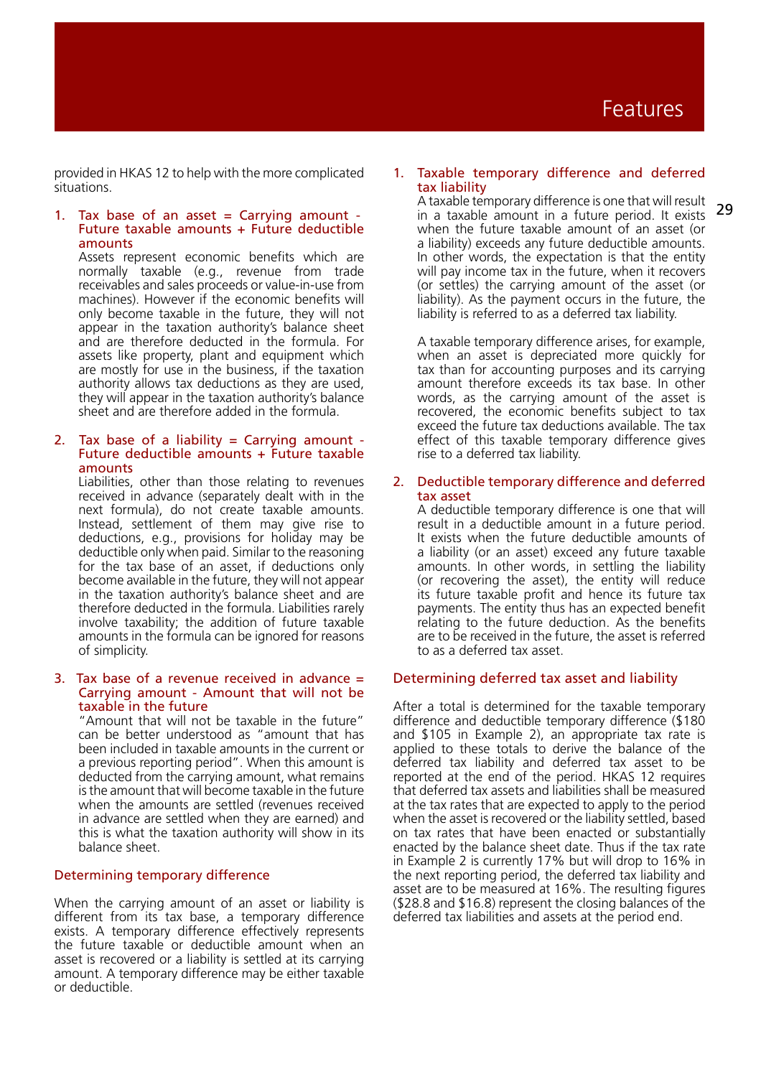provided in HKAS 12 to help with the more complicated situations.

#### 1. Tax base of an asset  $=$  Carrying amount -Future taxable amounts + Future deductible amounts

Assets represent economic benefits which are normally taxable (e.g., revenue from trade receivables and sales proceeds or value-in-use from machines). However if the economic benefits will only become taxable in the future, they will not appear in the taxation authority's balance sheet and are therefore deducted in the formula. For assets like property, plant and equipment which are mostly for use in the business, if the taxation authority allows tax deductions as they are used, they will appear in the taxation authority's balance sheet and are therefore added in the formula.

#### 2. Tax base of a liability = Carrying amount -Future deductible amounts  $+$  Future taxable amounts

Liabilities, other than those relating to revenues received in advance (separately dealt with in the next formula), do not create taxable amounts. Instead, settlement of them may give rise to deductions, e.g., provisions for holiday may be deductible only when paid. Similar to the reasoning for the tax base of an asset, if deductions only become available in the future, they will not appear in the taxation authority's balance sheet and are therefore deducted in the formula. Liabilities rarely involve taxability; the addition of future taxable amounts in the formula can be ignored for reasons of simplicity.

#### 3. Tax base of a revenue received in advance  $=$ Carrying amount - Amount that will not be taxable in the future

"Amount that will not be taxable in the future" can be better understood as "amount that has been included in taxable amounts in the current or a previous reporting period". When this amount is deducted from the carrying amount, what remains is the amount that will become taxable in the future when the amounts are settled (revenues received in advance are settled when they are earned) and this is what the taxation authority will show in its balance sheet.

## Determining temporary difference

When the carrying amount of an asset or liability is different from its tax base, a temporary difference exists. A temporary difference effectively represents the future taxable or deductible amount when an asset is recovered or a liability is settled at its carrying amount. A temporary difference may be either taxable or deductible.

#### 1. Taxable temporary difference and deferred tax liability

29 A taxable temporary difference is one that will result in a taxable amount in a future period. It exists when the future taxable amount of an asset (or a liability) exceeds any future deductible amounts. In other words, the expectation is that the entity will pay income tax in the future, when it recovers (or settles) the carrying amount of the asset (or liability). As the payment occurs in the future, the liability is referred to as a deferred tax liability.

A taxable temporary difference arises, for example, when an asset is depreciated more quickly for tax than for accounting purposes and its carrying amount therefore exceeds its tax base. In other words, as the carrying amount of the asset is recovered, the economic benefits subject to tax exceed the future tax deductions available. The tax effect of this taxable temporary difference gives rise to a deferred tax liability.

#### 2. Deductible temporary difference and deferred tax asset

A deductible temporary difference is one that will result in a deductible amount in a future period. It exists when the future deductible amounts of a liability (or an asset) exceed any future taxable amounts. In other words, in settling the liability (or recovering the asset), the entity will reduce its future taxable profit and hence its future tax payments. The entity thus has an expected benefit relating to the future deduction. As the benefits are to be received in the future, the asset is referred to as a deferred tax asset.

## Determining deferred tax asset and liability

After a total is determined for the taxable temporary difference and deductible temporary difference (\$180 and \$105 in Example 2), an appropriate tax rate is applied to these totals to derive the balance of the deferred tax liability and deferred tax asset to be reported at the end of the period. HKAS 12 requires that deferred tax assets and liabilities shall be measured at the tax rates that are expected to apply to the period when the asset is recovered or the liability settled, based on tax rates that have been enacted or substantially enacted by the balance sheet date. Thus if the tax rate in Example 2 is currently 17% but will drop to 16% in the next reporting period, the deferred tax liability and asset are to be measured at 16%. The resulting figures (\$28.8 and \$16.8) represent the closing balances of the deferred tax liabilities and assets at the period end.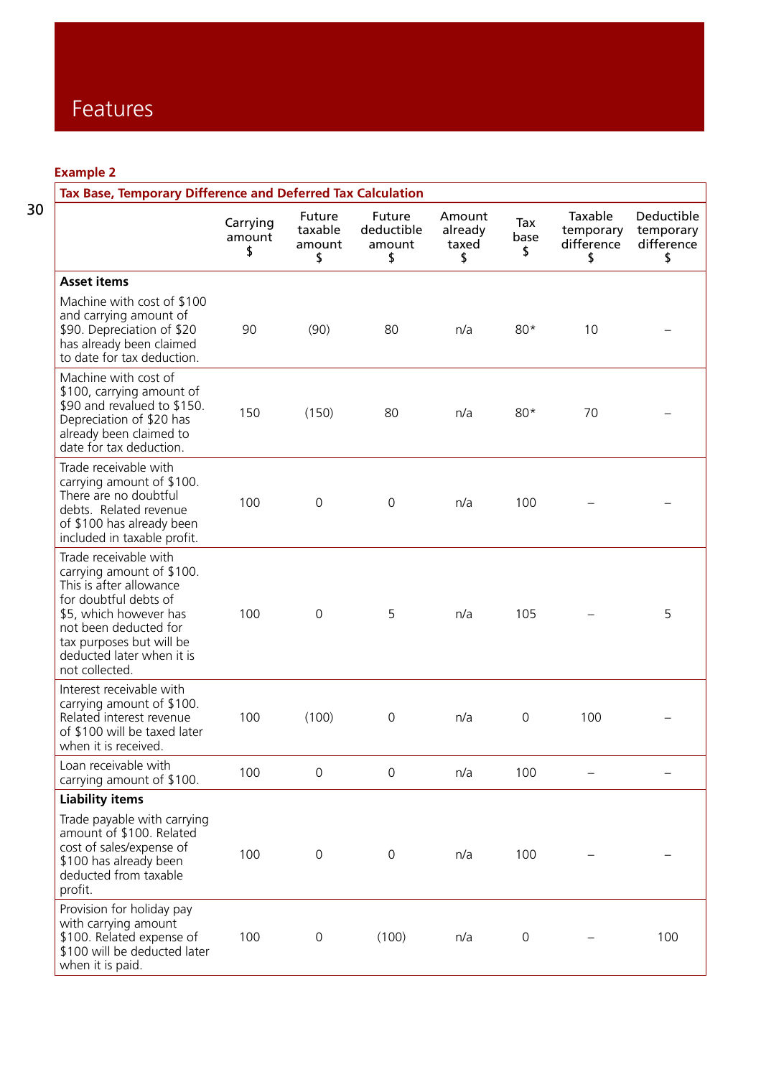**Example 2**

| Tax Base, Temporary Difference and Deferred Tax Calculation                                                                                                                                                                          |                          |                                   |                                      |                                  |                   |                                          |                                             |
|--------------------------------------------------------------------------------------------------------------------------------------------------------------------------------------------------------------------------------------|--------------------------|-----------------------------------|--------------------------------------|----------------------------------|-------------------|------------------------------------------|---------------------------------------------|
|                                                                                                                                                                                                                                      | Carrying<br>amount<br>\$ | Future<br>taxable<br>amount<br>\$ | Future<br>deductible<br>amount<br>\$ | Amount<br>already<br>taxed<br>\$ | Tax<br>base<br>\$ | Taxable<br>temporary<br>difference<br>\$ | Deductible<br>temporary<br>difference<br>\$ |
| <b>Asset items</b>                                                                                                                                                                                                                   |                          |                                   |                                      |                                  |                   |                                          |                                             |
| Machine with cost of \$100<br>and carrying amount of<br>\$90. Depreciation of \$20<br>has already been claimed<br>to date for tax deduction.                                                                                         | 90                       | (90)                              | 80                                   | n/a                              | $80*$             | 10                                       |                                             |
| Machine with cost of<br>\$100, carrying amount of<br>\$90 and revalued to \$150.<br>Depreciation of \$20 has<br>already been claimed to<br>date for tax deduction.                                                                   | 150                      | (150)                             | 80                                   | n/a                              | $80*$             | 70                                       |                                             |
| Trade receivable with<br>carrying amount of \$100.<br>There are no doubtful<br>debts. Related revenue<br>of \$100 has already been<br>included in taxable profit.                                                                    | 100                      | $\mathbf 0$                       | 0                                    | n/a                              | 100               |                                          |                                             |
| Trade receivable with<br>carrying amount of \$100.<br>This is after allowance<br>for doubtful debts of<br>\$5, which however has<br>not been deducted for<br>tax purposes but will be<br>deducted later when it is<br>not collected. | 100                      | $\mathbf 0$                       | 5                                    | n/a                              | 105               |                                          | 5                                           |
| Interest receivable with<br>carrying amount of \$100.<br>Related interest revenue<br>of \$100 will be taxed later<br>when it is received.                                                                                            | 100                      | (100)                             | 0                                    | n/a                              | $\mathbf 0$       | 100                                      |                                             |
| Loan receivable with<br>carrying amount of \$100.                                                                                                                                                                                    | 100                      | $\mathbf 0$                       | $\mathbf 0$                          | n/a                              | 100               |                                          |                                             |
| <b>Liability items</b>                                                                                                                                                                                                               |                          |                                   |                                      |                                  |                   |                                          |                                             |
| Trade payable with carrying<br>amount of \$100. Related<br>cost of sales/expense of<br>\$100 has already been<br>deducted from taxable<br>profit.                                                                                    | 100                      | $\mathsf{O}\xspace$               | 0                                    | n/a                              | 100               |                                          |                                             |
| Provision for holiday pay<br>with carrying amount<br>\$100. Related expense of<br>\$100 will be deducted later<br>when it is paid.                                                                                                   | 100                      | 0                                 | (100)                                | n/a                              | 0                 |                                          | 100                                         |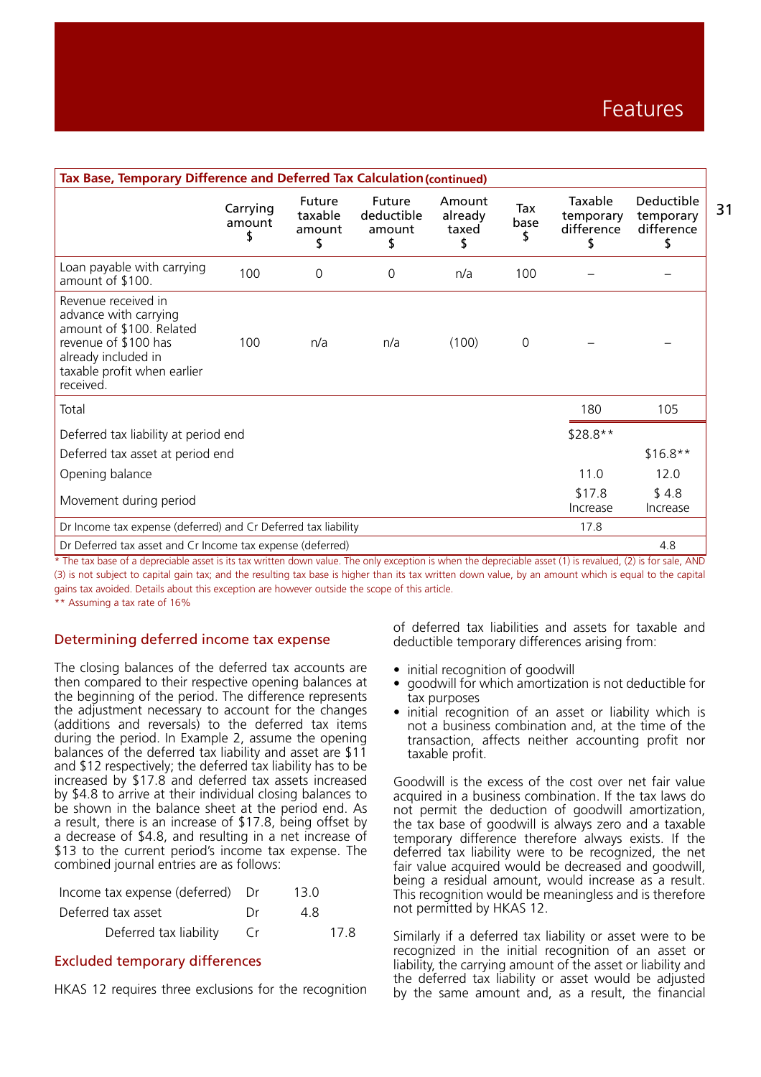| Tax Base, Temporary Difference and Deferred Tax Calculation (continued)                                                                                             |                    |                                   |                                      |                                  |             |                                          |                                             |    |
|---------------------------------------------------------------------------------------------------------------------------------------------------------------------|--------------------|-----------------------------------|--------------------------------------|----------------------------------|-------------|------------------------------------------|---------------------------------------------|----|
|                                                                                                                                                                     | Carrying<br>amount | Future<br>taxable<br>amount<br>\$ | Future<br>deductible<br>amount<br>\$ | Amount<br>already<br>taxed<br>\$ | Tax<br>base | Taxable<br>temporary<br>difference<br>\$ | Deductible<br>temporary<br>difference<br>\$ | 31 |
| Loan payable with carrying<br>amount of \$100.                                                                                                                      | 100                | 0                                 | 0                                    | n/a                              | 100         |                                          |                                             |    |
| Revenue received in<br>advance with carrying<br>amount of \$100. Related<br>revenue of \$100 has<br>already included in<br>taxable profit when earlier<br>received. | 100                | n/a                               | n/a                                  | (100)                            | $\mathbf 0$ |                                          |                                             |    |
| Total                                                                                                                                                               |                    |                                   |                                      |                                  |             | 180                                      | 105                                         |    |
| Deferred tax liability at period end                                                                                                                                |                    |                                   |                                      |                                  |             | $$28.8**$                                |                                             |    |
| Deferred tax asset at period end                                                                                                                                    |                    |                                   |                                      |                                  |             |                                          | $$16.8**$                                   |    |
| Opening balance                                                                                                                                                     |                    |                                   |                                      |                                  |             | 11.0                                     | 12.0                                        |    |
| Movement during period                                                                                                                                              |                    |                                   |                                      |                                  |             | \$17.8<br>Increase                       | \$4.8<br>Increase                           |    |
| Dr Income tax expense (deferred) and Cr Deferred tax liability                                                                                                      |                    |                                   |                                      |                                  | 17.8        |                                          |                                             |    |
| Dr Deferred tax asset and Cr Income tax expense (deferred)                                                                                                          |                    |                                   |                                      |                                  |             |                                          | 4.8                                         |    |

 $*$  The tax base of a depreciable asset is its tax written down value. The only exception is when the depreciable asset (1) is revalued, (2) is for sale. AND (3) is not subject to capital gain tax; and the resulting tax base is higher than its tax written down value, by an amount which is equal to the capital gains tax avoided. Details about this exception are however outside the scope of this article.

\*\* Assuming a tax rate of 16%

## Determining deferred income tax expense

The closing balances of the deferred tax accounts are then compared to their respective opening balances at the beginning of the period. The difference represents the adjustment necessary to account for the changes (additions and reversals) to the deferred tax items during the period. In Example 2, assume the opening balances of the deferred tax liability and asset are \$11 and \$12 respectively; the deferred tax liability has to be increased by \$17.8 and deferred tax assets increased by \$4.8 to arrive at their individual closing balances to be shown in the balance sheet at the period end. As a result, there is an increase of \$17.8, being offset by a decrease of \$4.8, and resulting in a net increase of \$13 to the current period's income tax expense. The combined journal entries are as follows:

| Income tax expense (deferred) Dr |    | 13.0 |
|----------------------------------|----|------|
| Deferred tax asset               | Dr | 48.  |
| Deferred tax liability           |    | 17.8 |

#### Excluded temporary differences

HKAS 12 requires three exclusions for the recognition

of deferred tax liabilities and assets for taxable and deductible temporary differences arising from:

- initial recognition of goodwill
- goodwill for which amortization is not deductible for tax purposes
- initial recognition of an asset or liability which is not a business combination and, at the time of the transaction, affects neither accounting profit nor taxable profit.

Goodwill is the excess of the cost over net fair value acquired in a business combination. If the tax laws do not permit the deduction of goodwill amortization, the tax base of goodwill is always zero and a taxable temporary difference therefore always exists. If the deferred tax liability were to be recognized, the net fair value acquired would be decreased and goodwill, being a residual amount, would increase as a result. This recognition would be meaningless and is therefore not permitted by HKAS 12.

Similarly if a deferred tax liability or asset were to be recognized in the initial recognition of an asset or liability, the carrying amount of the asset or liability and the deferred tax liability or asset would be adjusted by the same amount and, as a result, the financial